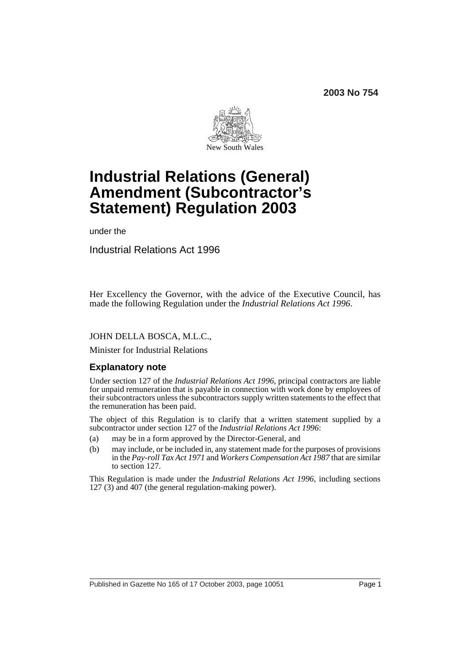**2003 No 754**



# **Industrial Relations (General) Amendment (Subcontractor's Statement) Regulation 2003**

under the

Industrial Relations Act 1996

Her Excellency the Governor, with the advice of the Executive Council, has made the following Regulation under the *Industrial Relations Act 1996*.

### JOHN DELLA BOSCA, M.L.C.,

Minister for Industrial Relations

# **Explanatory note**

Under section 127 of the *Industrial Relations Act 1996*, principal contractors are liable for unpaid remuneration that is payable in connection with work done by employees of their subcontractors unless the subcontractors supply written statements to the effect that the remuneration has been paid.

The object of this Regulation is to clarify that a written statement supplied by a subcontractor under section 127 of the *Industrial Relations Act 1996*:

- (a) may be in a form approved by the Director-General, and
- (b) may include, or be included in, any statement made for the purposes of provisions in the *Pay-roll Tax Act 1971* and *Workers Compensation Act 1987* that are similar to section 127.

This Regulation is made under the *Industrial Relations Act 1996*, including sections 127 (3) and 407 (the general regulation-making power).